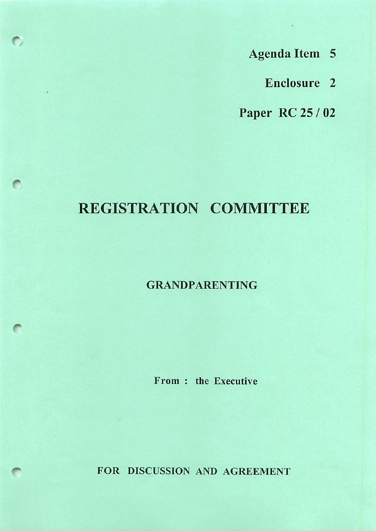- Agenda Item 5
	- Enclosure 2

Paper RC 25 / 02

# REGISTRATION COMMITTEE

 $\bigcap$ 

# GRANDPARENTING

From : the Executive

FOR DISCUSSION AND AGREEMENT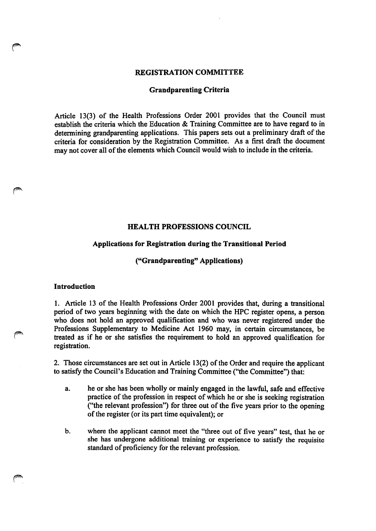#### REGISTRATION COMMITTEE

#### Grandparenting Criteria

Article 13(3) of the Health Professions Order 2001 provides that the Council must establish the criteria which the Education & Training Committee are to have regard to in determining grandparenting applications. This papers sets out a preliminary draft of the criteria for consideration by the Registration Committee. As a first draft the document may not cover all of the elements which Council would wish to include in the criteria.

#### HEALTH PROFESSIONS COUNCIL

#### Applications for Registration during the Transitional Period

#### ("Grandparenting" Applications)

# **Introduction**

/(PS

1. Article 13 of the Health Professions Order 2001 provides that, during a transitional period of two years beginning with the date on which the HPC register opens, a person who does not hold an approved qualification and who was never registered under the Professions Supplementary to Medicine Act 1960 may, in certain circumstances, be treated as if he or she satisfies the requirement to hold an approved qualification for registration.

2. Those circumstances are set out in Article 13(2) of the Order and require the applicant to satisfy the Council's Education and Training Committee ("the Committee") that:

- a. he or she has been wholly or mainly engaged in the lawful, safe and effective practice of the profession in respect of which he or she is seeking registration ("the relevant profession") for three out of the five years prior to the opening of the register (or its part time equivalent); or
- b. where the applicant cannot meet the "three out of five years" test, that he or she has undergone additional training or experience to satisfy the requisite standard of proficiency for the relevant profession.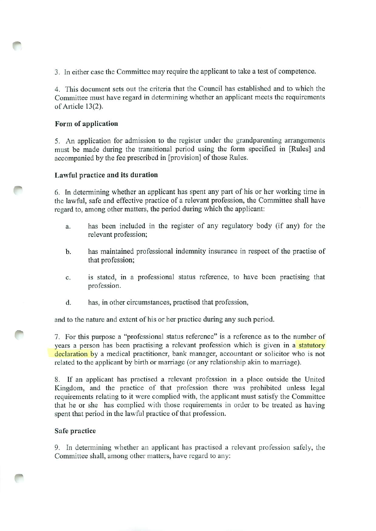3. In either case the Committee may require the applicant to take a test of competence.

4. This document sets out the criteria that the Council has established and to which the Committee must have regard in determining whether an applicant meets the requirements of Article 13(2).

# Form of application

5. An application for admission to the register under the grandparenting arrangements must be made during the transitional period using the form specified in [Rules] and accompanied by the fee prescribed in [provision] of those Rules.

# Lawful practice and its duration

6. In determining whether an applicant has spent any part of his or her working time in the lawful, safe and effective practice of a relevant profession, the Committee shall have regard to, among other matters, the period during which the applicant:

- a. has been included in the register of any regulatory body (if any) for the relevant profession;
- b. has maintained professional indemnity insurance in respect of the practise of that profession;
- c. is stated, in a professional status reference, to have been practising that profession.
- d. has, in other circumstances, practised that profession,

and to the nature and extent of his or her practice during any such period.

7. For this purpose a "professional status reference" is a reference as to the number of years a person has been practising a relevant profession which is given in a statutory declaration by a medical practitioner, bank manager, accountant or solicitor who is not related to the applicant by birth or marriage (or any relationship akin to marriage).

8. If an applicant has practised a relevant profession in a place outside the United Kingdom, and the practice of that profession there was prohibited unless legal requirements relating to it were complied with, the applicant must satisfy the Committee that he or she has complied with those requirements in order to be treated as having spent that period in the lawful practice of that profession.

# Safe practice

9. In determining whether an applicant has practised a relevant profession safely, the Committee shall, among other matters, have regard to any: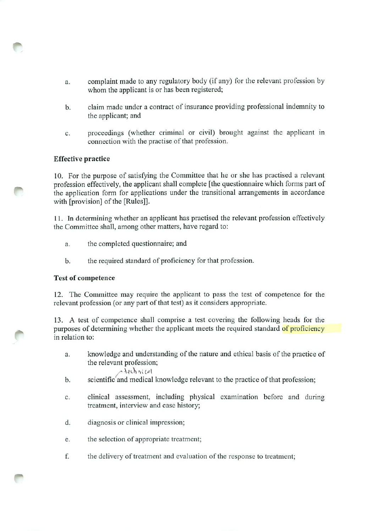- a. complaint made to any regulatory body (if any) for the relevant profession by whom the applicant is or has been registered;
- b. claim made under a contract of insurance providing professional indemnity to the applicant; and
- c. proceedings (whether criminal or civil) brought against the applicant in connection with the practise of that profession.

# Effective practice

10. For the purpose of satisfying the Committee that he or she has practised a relevant profession effectively, the applicant shall complete [the questionnaire which forms part of the application form for applications under the transitional arrangements in accordance with [provision] of the [Rules]].

11. In determining whether an applicant has practised the relevant profession effectively the Committee shall, among other matters, have regard to:

- a. the completed questionnaire; and
- b. the required standard of proficiency for that profession.

# Test of competence

12. The Committee may require the applicant to pass the test of competence for the relevant profession (or any part of that test) as it considers appropriate.

13. A test of competence shall comprise a test covering the following heads for the purposes of determining whether the applicant meets the required standard of proficiency in relation to:

a. knowiedge and understanding of the nature and ethical basis of the practice of the relevant profession;

$$
\bigwedge
$$
 4echni (d)

- b. scientific and medical knowledge relevant to the practice of that profession;
- c. clinical assessment, including physical examination before and during treatment, interview and case history;
- d. diagnosis or clinical impression;
- e. the selection of appropriate treatment;
- f. the delivery of treatment and evaluation of the response to treatment;